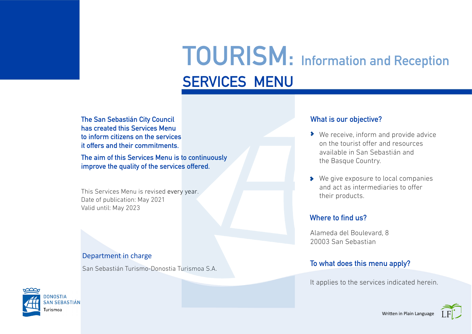# SERVICES MENU TOURISM: Information and Reception

The San Sebastián City Council What is our objective? has created this Services Menu to inform citizens on the services it offers and their commitments.

The aim of this Services Menu is to continuously improve the quality of the services offered.

This Services Menu is revised every year. Date of publication: May 2021 Valid until: May 2023

#### Department in charge

San Sebastián Turismo-Donostia Turismoa S.A.



- ◆ We receive, inform and provide advice on the tourist offer and resources available in San Sebastián and the Basque Country.
- ◆ We give exposure to local companies and act as intermediaries to offer their products.

#### Where to find us?

Alameda del Boulevard, 8 20003 San Sebastian

#### To what does this menu apply?

It applies to the services indicated herein.

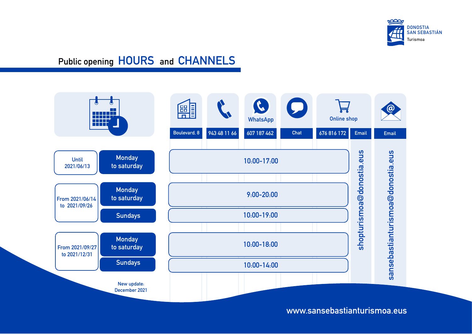

### Public opening HOURS and CHANNELS



www.sansebastianturismoa.eus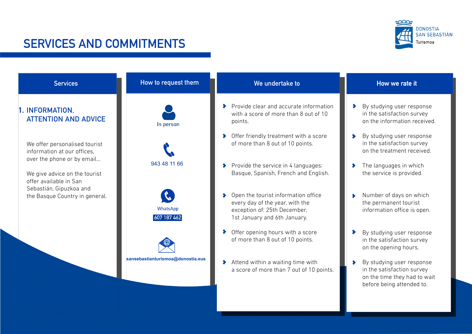#### **DONOSTIA SAN SEBASTIÁN** Turismoa

### SERVICES AND COMMITMENTS

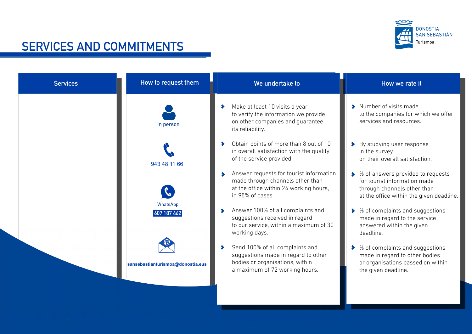

## SERVICES AND COMMITMENTS

| <b>Services</b> | How to request them               | We undertake to                                                                                                                             | How we rate it                                                                                                                                 |
|-----------------|-----------------------------------|---------------------------------------------------------------------------------------------------------------------------------------------|------------------------------------------------------------------------------------------------------------------------------------------------|
|                 | In person                         | Make at least 10 visits a year<br>to verify the information we provide<br>on other companies and guarantee<br>its reliability.              | Number of visits made<br>to the companies for which we offer<br>services and resources.                                                        |
|                 | 943 48 11 66                      | Obtain points of more than 8 out of 10<br>in overall satisfaction with the quality<br>of the service provided.                              | > By studying user response<br>in the survey<br>on their overall satisfaction.                                                                 |
|                 |                                   | Answer requests for tourist information<br>made through channels other than<br>at the office within 24 working hours,<br>in 95% of cases.   | ◆ % of answers provided to requests<br>for tourist information made<br>through channels other than<br>at the office within the given deadline. |
|                 | WhatsApp<br>607 187 462           | Answer 100% of all complaints and<br>suggestions received in regard<br>to our service, within a maximum of 30<br>working days.              | ◆ % of complaints and suggestions<br>made in regard to the service<br>answered within the given<br>deadline.                                   |
|                 | sansebastianturismoa@donostia.eus | Send 100% of all complaints and<br>suggestions made in regard to other<br>bodies or organisations, within<br>a maximum of 72 working hours. | % of complaints and suggestions<br>⋗<br>made in regard to other bodies<br>or organisations passed on within<br>the given deadline.             |
|                 |                                   |                                                                                                                                             |                                                                                                                                                |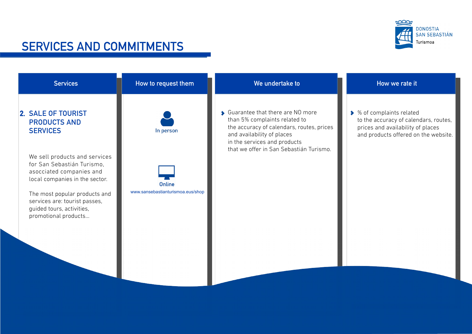

### SERVICES AND COMMITMENTS

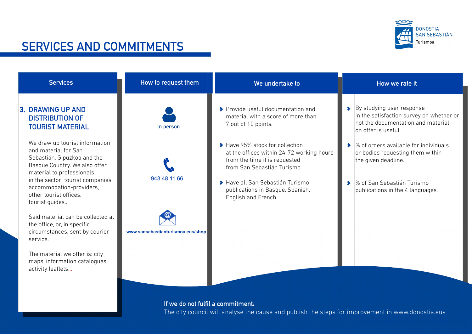

### SERVICES AND COMMITMENTS

| <b>Services</b>                                                                                                                                                                                                                                                                                                          | How to request them               | We undertake to                                                                                                                                                                                                                                                                                                                              | How we rate it                                                                                                                                                                                                                                                                                                                                       |
|--------------------------------------------------------------------------------------------------------------------------------------------------------------------------------------------------------------------------------------------------------------------------------------------------------------------------|-----------------------------------|----------------------------------------------------------------------------------------------------------------------------------------------------------------------------------------------------------------------------------------------------------------------------------------------------------------------------------------------|------------------------------------------------------------------------------------------------------------------------------------------------------------------------------------------------------------------------------------------------------------------------------------------------------------------------------------------------------|
| 3. DRAWING UP AND<br><b>DISTRIBUTION OF</b><br><b>TOURIST MATERIAL</b><br>We draw up tourist information<br>and material for San<br>Sebastián, Gipuzkoa and the<br>Basque Country. We also offer<br>material to professionals<br>in the sector: tourist companies,<br>accommodation-providers,<br>other tourist offices. | In person<br>943 48 11 66         | ◆ Provide useful documentation and<br>material with a score of more than<br>7 out of 10 points.<br>Have 95% stock for collection<br>at the offices within 24-72 working hours<br>from the time it is requested<br>from San Sebastián Turismo.<br>◆ Have all San Sebastián Turismo<br>publications in Basque, Spanish,<br>English and French. | > By studying user response<br>in the satisfaction survey on whether or<br>not the documentation and material<br>on offer is useful.<br>$\triangleright$ % of orders available for individuals<br>or bodies requesting them within<br>the given deadline.<br>% of San Sebastián Turismo<br>$\blacktriangleright$<br>publications in the 4 languages. |
| tourist guides<br>Said material can be collected at<br>the office, or, in specific<br>circumstances, sent by courier<br>service.<br>The material we offer is: city<br>maps, information catalogues,<br>activity leaflets                                                                                                 | www.sansebastianturismoa.eus/shop |                                                                                                                                                                                                                                                                                                                                              |                                                                                                                                                                                                                                                                                                                                                      |

#### commitment:

The city council will analyse the cause and publish the steps for improvement in www.donostia.eus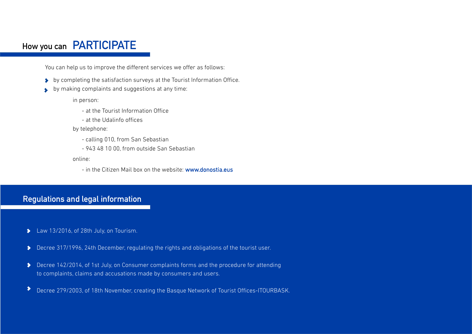### How you can PARTICIPATE

You can help us to improve the different services we offer as follows:

- by completing the satisfaction surveys at the Tourist Information Office.
- by making complaints and suggestions at any time:  $\blacktriangleright$

in person:

- at the Tourist Information Office
- at the Udalinfo offices

by telephone:

- calling 010, from San Sebastian
- 943 48 10 00, from outside San Sebastian

online:

- in the Citizen Mail box on the website: www.donostia.eus

#### Regulations and legal information

- Law 13/2016, of 28th July, on Tourism.  $\blacktriangleright$
- Decree 317/1996, 24th December, regulating the rights and obligations of the tourist user.  $\blacktriangleright$
- Decree 142/2014, of 1st July, on Consumer complaints forms and the procedure for attending to complaints, claims and accusations made by consumers and users.
- $\blacktriangleright$ Decree 279/2003, of 18th November, creating the Basque Network of Tourist Offices-ITOURBASK.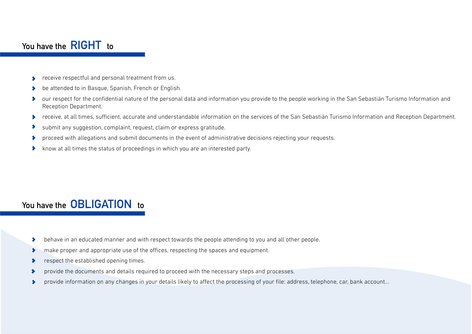#### You have the **RIGHT** to

- **COLOGITY FIGURE 2** receive respectful and personal treatment from us.
- be attended to in Basque, Spanish, French or English.  $\bullet$
- our respect for the confidential nature of the personal data and information you provide to the people working in the San Sebastián Turismo Information and  $\bullet$ Reception Department.
- receive, at all times, sufficient, accurate and understandable information on the services of the San Sebastián Turismo Information and Reception Department.  $\bullet$
- submit any suggestion, complaint, request, claim or express gratitude.
- proceed with allegations and submit documents in the event of administrative decisions rejecting your requests. ⊁
- know at all times the status of proceedings in which you are an interested party.  $\bullet$

### You have the **OBLIGATION** to

- behave in an educated manner and with respect towards the people attending to you and all other people.  $\blacktriangleright$
- make proper and appropriate use of the offices, respecting the spaces and equipment.  $\bullet$
- respect the established opening times.  $\blacktriangleright$
- provide the documents and details required to proceed with the necessary steps and processes.  $\blacktriangleright$
- provide information on any changes in your details likely to affect the processing of your file: address, telephone, car, bank account...  $\bullet$